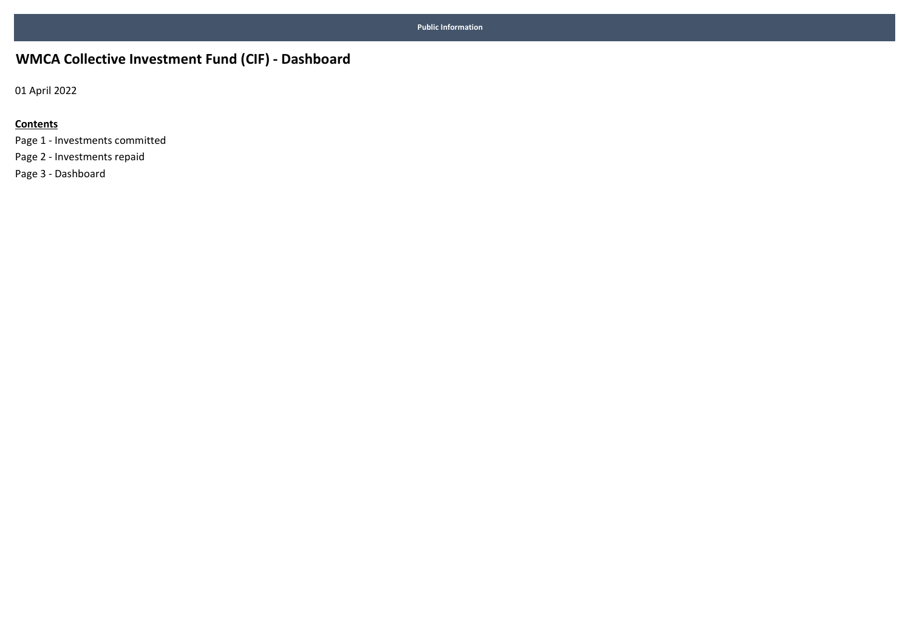## WMCA Collective Investment Fund (CIF) - Dashboard

01 April 2022

### **Contents**

Page 1 - Investments committed Page 2 - Investments repaid Page 3 - Dashboard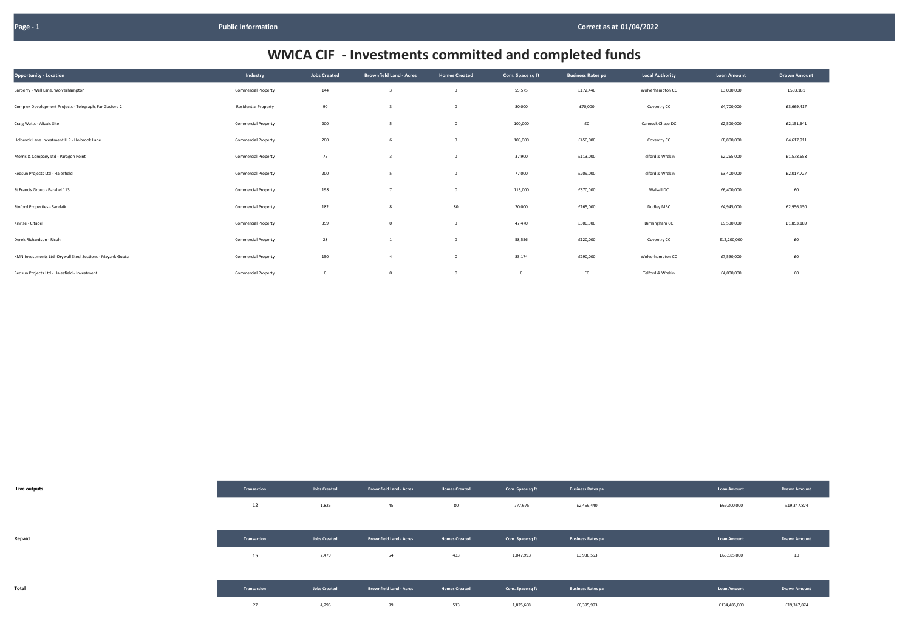| Opportunity - Location                                     | Industry                    | <b>Jobs Created</b> | <b>Brownfield Land - Acres</b> | <b>Homes Created</b> | Com. Space sq ft | <b>Business Rates pa</b> | <b>Local Authority</b> | <b>Loan Amount</b> | <b>Drawn Amount</b> |
|------------------------------------------------------------|-----------------------------|---------------------|--------------------------------|----------------------|------------------|--------------------------|------------------------|--------------------|---------------------|
| Barberry - Well Lane, Wolverhampton                        | <b>Commercial Property</b>  | 144                 |                                |                      | 55,575           | £172,440                 | Wolverhampton CC       | £3,000,000         | £503,181            |
| Complex Development Projects - Telegraph, Far Gosford 2    | <b>Residential Property</b> | 90                  |                                |                      | 80,000           | £70,000                  | Coventry CC            | £4,700,000         | £3,669,417          |
| Craig Watts - Aliaxis Site                                 | <b>Commercial Property</b>  | 200                 | - 5                            | $\Omega$             | 100,000          | £0                       | Cannock Chase DC       | £2,500,000         | £2,151,641          |
| Holbrook Lane Investment LLP - Holbrook Lane               | <b>Commercial Property</b>  | 200                 |                                | 0                    | 105,000          | £450,000                 | Coventry CC            | £8,800,000         | £4,617,911          |
| Morris & Company Ltd - Paragon Point                       | <b>Commercial Property</b>  | 75                  |                                | 0                    | 37,900           | £113,000                 | Telford & Wrekin       | £2,265,000         | £1,578,658          |
| Redsun Projects Ltd - Halesfield                           | <b>Commercial Property</b>  | 200                 | -5                             | 0                    | 77,000           | £209,000                 | Telford & Wrekin       | £3,400,000         | £2,017,727          |
| St Francis Group - Parallel 113                            | <b>Commercial Property</b>  | 198                 |                                | 0                    | 113,000          | £370,000                 | Walsall DC             | £6,400,000         | E0                  |
| Stoford Properties - Sandvik                               | <b>Commercial Property</b>  | 182                 |                                | 80                   | 20,000           | £165,000                 | Dudley MBC             | £4,945,000         | £2,956,150          |
| Kinrise - Citadel                                          | <b>Commercial Property</b>  | 359                 | $^{\circ}$                     | 0                    | 47,470           | £500,000                 | Birmingham CC          | £9,500,000         | £1,853,189          |
| Derek Richardson - Ricoh                                   | <b>Commercial Property</b>  | 28                  |                                |                      | 58,556           | £120,000                 | Coventry CC            | £12,200,000        | £0                  |
| KMN Investments Ltd -Drywall Steel Sections - Mayank Gupta | <b>Commercial Property</b>  | 150                 |                                |                      | 83,174           | £290,000                 | Wolverhampton CC       | £7,590,000         | £0                  |
| Redsun Projects Ltd - Halesfield - Investment              | <b>Commercial Property</b>  | $\mathbf{0}$        |                                |                      | $\overline{0}$   | $\pmb{\text{f0}}$        | Telford & Wrekin       | £4,000,000         | £0                  |

| Live outputs | Transaction | <b>Jobs Created</b> | <b>Brownfield Land - Acres</b> | <b>Homes Created</b> | Com. Space sq ft | <b>Business Rates pa</b> | <b>Loan Amount</b> | <b>Drawn Amount</b> |
|--------------|-------------|---------------------|--------------------------------|----------------------|------------------|--------------------------|--------------------|---------------------|
|              | 12          | 1,826               | 45                             | 80                   | 777,675          | £2,459,440               | £69,300,000        | £19,347,874         |
|              |             |                     |                                |                      |                  |                          |                    |                     |
| Repaid       | Transaction | <b>Jobs Created</b> | <b>Brownfield Land - Acres</b> | <b>Homes Created</b> | Com. Space sq ft | <b>Business Rates pa</b> | <b>Loan Amount</b> | <b>Drawn Amount</b> |
|              | 15          | 2,470               | 54                             | 433                  | 1,047,993        | £3,936,553               | £65,185,000        | £0                  |
|              |             |                     |                                |                      |                  |                          |                    |                     |
| Total        | Transaction | <b>Jobs Created</b> | <b>Brownfield Land - Acres</b> | <b>Homes Created</b> | Com. Space sq ft | <b>Business Rates pa</b> | <b>Loan Amount</b> | <b>Drawn Amount</b> |
|              | 27          | 4,296               | 99                             | 513                  | 1,825,668        | £6,395,993               | £134,485,000       | £19,347,874         |

| <b>Loan Amount</b> | <b>Drawn Amount</b> |
|--------------------|---------------------|
| £3,000,000         | £503,181            |
| £4,700,000         | £3,669,417          |
| £2,500,000         | £2,151,641          |
| £8,800,000         | £4,617,911          |
| £2,265,000         | £1,578,658          |
| £3,400,000         | £2,017,727          |
| £6,400,000         | £0                  |
| £4,945,000         | £2,956,150          |
| £9,500,000         | £1,853,189          |
| £12,200,000        | £0                  |
| £7,590,000         | £0                  |
| £4,000,000         | £0                  |

| <b>Loan Amount</b> | <b>Drawn Amount</b> |
|--------------------|---------------------|
| £69,300,000        | £19,347,874         |
|                    |                     |
| <b>Loan Amount</b> | <b>Drawn Amount</b> |
| £65,185,000        | £0                  |
|                    |                     |
| <b>Loan Amount</b> | <b>Drawn Amount</b> |
| £134,485,000       | £19,347,874         |

# WMCA CIF - Investments committed and completed funds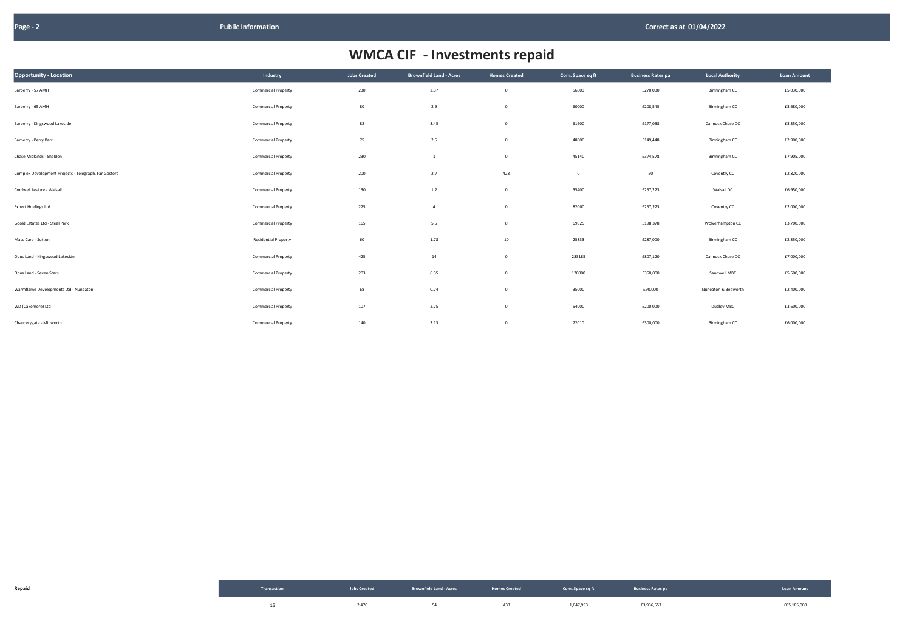| Opportunity - Location                                | Industry                    | <b>Jobs Created</b> | <b>Brownfield Land - Acres</b> | <b>Homes Created</b> | Com. Space sq ft | <b>Business Rates pa</b> | <b>Local Authority</b> | <b>Loan Amount</b> |
|-------------------------------------------------------|-----------------------------|---------------------|--------------------------------|----------------------|------------------|--------------------------|------------------------|--------------------|
| Barberry - 57 AMH                                     | <b>Commercial Property</b>  | 230                 | 2.37                           | $\mathbf 0$          | 56800            | £270,000                 | Birmingham CC          | £5,030,000         |
| Barberry - 65 AMH                                     | <b>Commercial Property</b>  | 80                  | 2.9                            | $\overline{0}$       | 60000            | £208,545                 | Birmingham CC          | £3,680,000         |
| Barberry - Kingswood Lakeside                         | <b>Commercial Property</b>  | 82                  | 3.45                           | $\mathbf{0}$         | 61600            | £177,038                 | Cannock Chase DC       | £3,350,000         |
| Barberry - Perry Barr                                 | <b>Commercial Property</b>  | 75                  | 2.5                            | $\mathbf{0}$         | 48000            | £149,448                 | Birmingham CC          | £2,900,000         |
| Chase Midlands - Sheldon                              | <b>Commercial Property</b>  | 230                 | $\mathbf{1}$                   | $\mathbf 0$          | 45140            | £374,578                 | Birmingham CC          | £7,905,000         |
| Complex Development Projects - Telegraph, Far Gosford | <b>Commercial Property</b>  | 200                 | 2.7                            | 423                  | $\overline{0}$   | ${\tt f0}$               | Coventry CC            | £2,820,000         |
| Cordwell Lesiure - Walsall                            | <b>Commercial Property</b>  | 130                 | 1.2                            | $\mathbf{0}$         | 35400            | £257,223                 | Walsall DC             | £6,950,000         |
| <b>Expert Holdings Ltd</b>                            | <b>Commercial Property</b>  | 275                 | $\overline{4}$                 | $\overline{0}$       | 82000            | £257,223                 | Coventry CC            | £2,000,000         |
| Goold Estates Ltd - Steel Park                        | <b>Commercial Property</b>  | 165                 | 5.5                            | $\mathbf 0$          | 69025            | £198,378                 | Wolverhampton CC       | £3,700,000         |
| Macc Care - Sutton                                    | <b>Residential Property</b> | 60                  | 1.78                           | 10                   | 25833            | £287,000                 | Birmingham CC          | £2,350,000         |
| Opus Land - Kingswood Lakeside                        | <b>Commercial Property</b>  | 425                 | 14                             | $\overline{0}$       | 283185           | £807,120                 | Cannock Chase DC       | £7,000,000         |
| Opus Land - Seven Stars                               | <b>Commercial Property</b>  | 203                 | 6.35                           | $\overline{0}$       | 120000           | £360,000                 | Sandwell MBC           | £5,500,000         |
| Warmflame Developments Ltd - Nuneaton                 | <b>Commercial Property</b>  | 68                  | 0.74                           | $\overline{0}$       | 35000            | £90,000                  | Nuneaton & Bedworth    | £2,400,000         |
| WD (Cakemore) Ltd                                     | <b>Commercial Property</b>  | 107                 | 2.75                           | $\overline{0}$       | 54000            | £200,000                 | Dudley MBC             | £3,600,000         |
| Chancerygate - Minworth                               | <b>Commercial Property</b>  | 140                 | 3.13                           | $\overline{0}$       | 72010            | £300,000                 | Birmingham CC          | £6,000,000         |

| Repaid | Transaction |       | Jobs Created <b>RECOVIDED Brownfield Land - Acres</b> Homes Created <b>Com.</b> Space sq ft <b>Business Rates particles</b> |     |           |            | <b>Loan Amount</b> |
|--------|-------------|-------|-----------------------------------------------------------------------------------------------------------------------------|-----|-----------|------------|--------------------|
|        |             | 2,470 |                                                                                                                             | 433 | 1,047,993 | £3,936,553 | £65,185,000        |

| <b>Local Authority</b> | <b>Loan Amount</b> |
|------------------------|--------------------|
| Birmingham CC          | £5,030,000         |
| Birmingham CC          | £3,680,000         |
| Cannock Chase DC       | £3,350,000         |
| Birmingham CC          | £2,900,000         |
| Birmingham CC          | £7,905,000         |
| Coventry CC            | £2,820,000         |
| Walsall DC             | £6,950,000         |
| Coventry CC            | £2,000,000         |
| Wolverhampton CC       | £3,700,000         |
| Birmingham CC          | £2,350,000         |
| Cannock Chase DC       | £7,000,000         |
| Sandwell MBC           | £5,500,000         |
| Nuneaton & Bedworth    | £2,400,000         |
| Dudley MBC             | £3,600,000         |
| Rirmingham CC          | FR 000 000         |

# WMCA CIF - Investments repaid